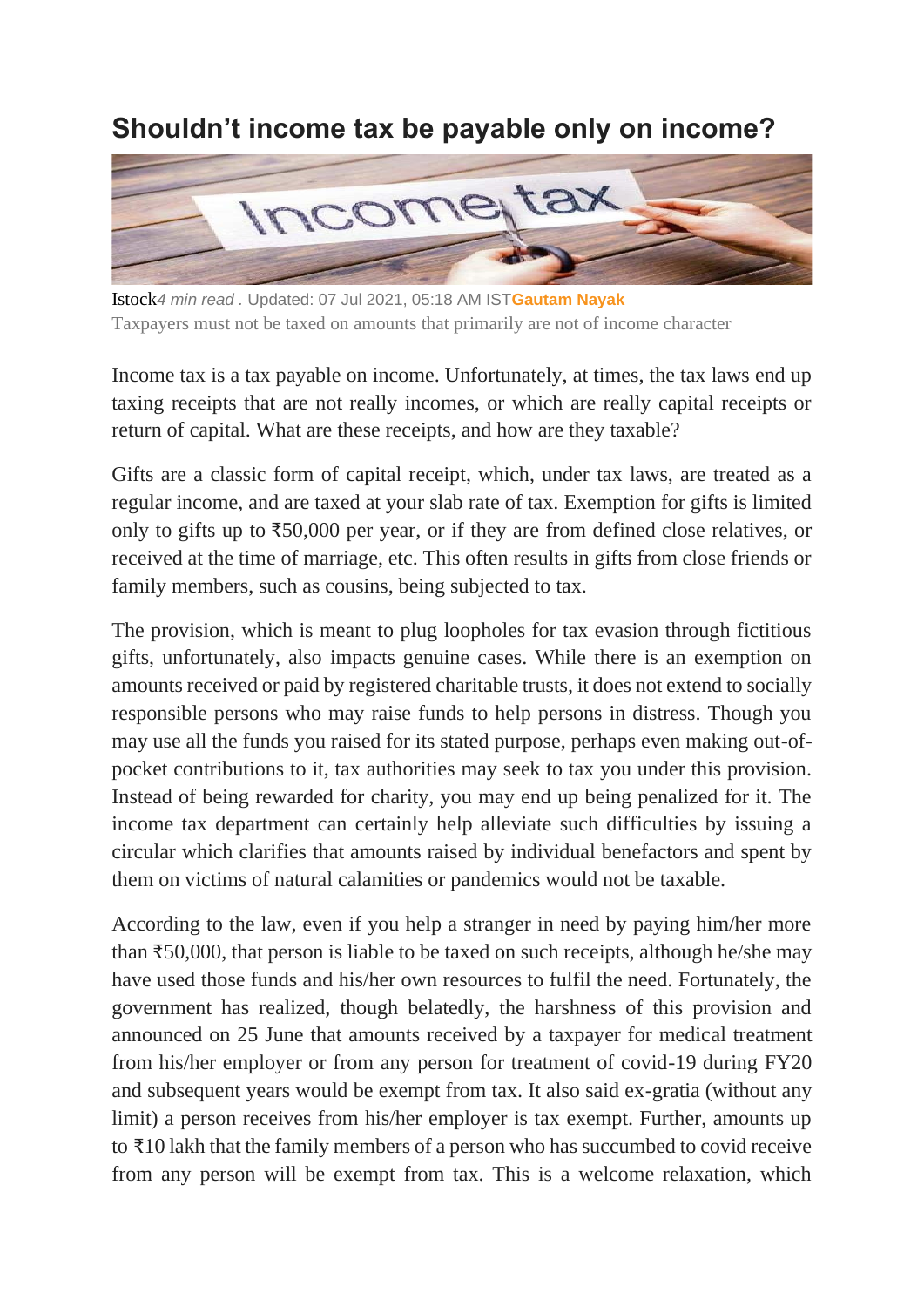## **Shouldn't income tax be payable only on income?**



Istock*4 min read .* Updated: 07 Jul 2021, 05:18 AM IST**[Gautam Nayak](https://www.livemint.com/Search/Link/Author/Gautam-Nayak)** Taxpayers must not be taxed on amounts that primarily are not of income character

Income tax is a tax payable on income. Unfortunately, at times, the tax laws end up taxing receipts that are not really incomes, or which are really capital receipts or return of capital. What are these receipts, and how are they taxable?

Gifts are a classic form of capital receipt, which, under tax laws, are treated as a regular income, and are taxed at your slab rate of tax. Exemption for gifts is limited only to gifts up to ₹50,000 per year, or if they are from defined close relatives, or received at the time of marriage, etc. This often results in gifts from close friends or family members, such as cousins, being subjected to tax.

The provision, which is meant to plug loopholes for tax evasion through fictitious gifts, unfortunately, also impacts genuine cases. While there is an exemption on amounts received or paid by registered charitable trusts, it does not extend to socially responsible persons who may raise funds to help persons in distress. Though you may use all the funds you raised for its stated purpose, perhaps even making out-ofpocket contributions to it, tax authorities may seek to tax you under this provision. Instead of being rewarded for charity, you may end up being penalized for it. The income tax department can certainly help alleviate such difficulties by issuing a circular which clarifies that amounts raised by individual benefactors and spent by them on victims of natural calamities or pandemics would not be taxable.

According to the law, even if you help a stranger in need by paying him/her more than  $\text{\textsterling}50,000$ , that person is liable to be taxed on such receipts, although he/she may have used those funds and his/her own resources to fulfil the need. Fortunately, the government has realized, though belatedly, the harshness of this provision and announced on 25 June that amounts received by a taxpayer for medical treatment from his/her employer or from any person for treatment of covid-19 during FY20 and subsequent years would be exempt from tax. It also said ex-gratia (without any limit) a person receives from his/her employer is tax exempt. Further, amounts up to ₹10 lakh that the family members of a person who has succumbed to covid receive from any person will be exempt from tax. This is a welcome relaxation, which